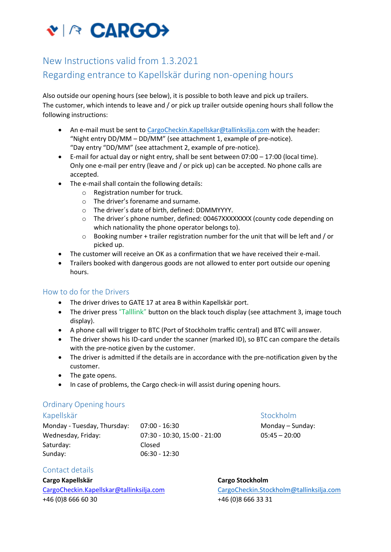# VIA CARGO>

# New Instructions valid from 1.3.2021

# Regarding entrance to Kapellskär during non-opening hours

Also outside our opening hours (see below), it is possible to both leave and pick up trailers. The customer, which intends to leave and / or pick up trailer outside opening hours shall follow the following instructions:

- An e-mail must be sent to [CargoCheckin.Kapellskar@tallinksilja.com](mailto:CargoCheckin.Kapellskar@tallinksilja.com) with the header: "Night entry DD/MM – DD/MM" (see attachment 1, example of pre-notice). "Day entry "DD/MM" (see attachment 2, example of pre-notice).
- E-mail for actual day or night entry, shall be sent between 07:00 17:00 (local time). Only one e-mail per entry (leave and / or pick up) can be accepted. No phone calls are accepted.
- The e-mail shall contain the following details:
	- o Registration number for truck.
	- o The driver's forename and surname.
	- o The driver´s date of birth, defined: DDMMYYYY.
	- o The driver´s phone number, defined: 00467XXXXXXXX (county code depending on which nationality the phone operator belongs to).
	- o Booking number + trailer registration number for the unit that will be left and / or picked up.
- The customer will receive an OK as a confirmation that we have received their e-mail.
- Trailers booked with dangerous goods are not allowed to enter port outside our opening hours.

## How to do for the Drivers

- The driver drives to GATE 17 at area B within Kapellskär port.
- The driver press "Talllink" button on the black touch display (see attachment 3, image touch display).
- A phone call will trigger to BTC (Port of Stockholm traffic central) and BTC will answer.
- The driver shows his ID-card under the scanner (marked ID), so BTC can compare the details with the pre-notice given by the customer.
- The driver is admitted if the details are in accordance with the pre-notification given by the customer.
- The gate opens.
- In case of problems, the Cargo check-in will assist during opening hours.

## Ordinary Opening hours

Monday - Tuesday, Thursday: 07:00 - 16:30 Monday – Sunday: 07:00 - 16:30 Wednesday, Friday: 07:30 - 10:30, 15:00 - 21:00 05:45 – 20:00 Saturday: Closed Sunday: 06:30 - 12:30

Kapellskär Stockholm and Stockholm Stockholm Stockholm Stockholm Stockholm Stockholm Stockholm Stockholm Stockholm Stockholm Stockholm Stockholm Stockholm Stockholm Stockholm Stockholm Stockholm Stockholm Stockholm Stockho

## Contact details

**Cargo Kapellskär Cargo Stockholm** [CargoCheckin.Kapellskar@tallinksilja.com](mailto:CargoCheckin.Kapellskar@tallinksilja.com) [CargoCheckin.Stockholm@tallinksilja.com](mailto:CargoCheckin.Stockholm@tallinksilja.com) +46 (0)8 666 60 30 +46 (0)8 666 33 31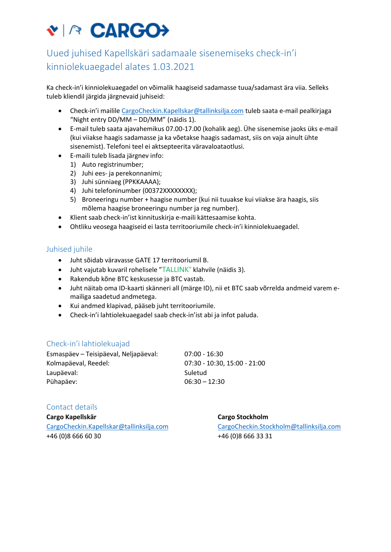# VIA CARGO→

# Uued juhised Kapellskäri sadamaale sisenemiseks check-in'i kinniolekuaegadel alates 1.03.2021

Ka check-in'i kinniolekuaegadel on võimalik haagiseid sadamasse tuua/sadamast ära viia. Selleks tuleb kliendil järgida järgnevaid juhiseid:

- Check-in'i mailile [CargoCheckin.Kapellskar@tallinksilja.com](mailto:CargoCheckin.Kapellskar@tallinksilja.com) tuleb saata e-mail pealkirjaga "Night entry DD/MM – DD/MM" (näidis 1).
- E-mail tuleb saata ajavahemikus 07.00-17.00 (kohalik aeg). Ühe sisenemise jaoks üks e-mail (kui viiakse haagis sadamasse ja ka võetakse haagis sadamast, siis on vaja ainult ühte sisenemist). Telefoni teel ei aktsepteerita väravaloataotlusi.
- E-maili tuleb lisada järgnev info:
	- 1) Auto registrinumber;
	- 2) Juhi ees- ja perekonnanimi;
	- 3) Juhi sünniaeg (PPKKAAAA);
	- 4) Juhi telefoninumber (00372XXXXXXXX);
	- 5) Broneeringu number + haagise number (kui nii tuuakse kui viiakse ära haagis, siis mõlema haagise broneeringu number ja reg number).
- Klient saab check-in'ist kinnituskirja e-maili kättesaamise kohta.
- Ohtliku veosega haagiseid ei lasta territooriumile check-in'i kinniolekuaegadel.

### Juhised juhile

- Juht sõidab väravasse GATE 17 territooriumil B.
- Juht vajutab kuvaril rohelisele "TALLINK" klahvile (näidis 3).
- Rakendub kõne BTC keskusesse ja BTC vastab.
- Juht näitab oma ID-kaarti skänneri all (märge ID), nii et BTC saab võrrelda andmeid varem emailiga saadetud andmetega.
- Kui andmed klapivad, pääseb juht territooriumile.
- Check-in'i lahtiolekuaegadel saab check-in'ist abi ja infot paluda.

#### Check-in'i lahtiolekuajad

| Esmaspäev – Teisipäeval, Neljapäeval: | 07:00 - 16:30                |
|---------------------------------------|------------------------------|
| Kolmapäeval, Reedel:                  | 07:30 - 10:30. 15:00 - 21:00 |
| Laupäeval:                            | Suletud                      |
| Pühapäev:                             | $06:30 - 12:30$              |

#### Contact details

**Cargo Kapellskär Cargo Stockholm** +46 (0)8 666 60 30 +46 (0)8 666 33 31

[CargoCheckin.Kapellskar@tallinksilja.com](mailto:CargoCheckin.Kapellskar@tallinksilja.com) [CargoCheckin.Stockholm@tallinksilja.com](mailto:CargoCheckin.Stockholm@tallinksilja.com)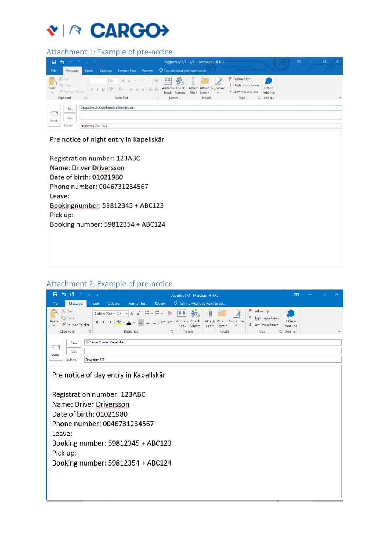# VIA CARGO→

# Attachment 1: Example of pre-notice

| 口                         | $\ddot{\phantom{1}}$                                           | ء اس ۾ ج                                                                                                                                                 |                                                   | Nightentry 2/3 - 3/3 - Message (HTML)                  |                                                                  |                                               | 困 | $\Box$<br>$\times$<br>- |
|---------------------------|----------------------------------------------------------------|----------------------------------------------------------------------------------------------------------------------------------------------------------|---------------------------------------------------|--------------------------------------------------------|------------------------------------------------------------------|-----------------------------------------------|---|-------------------------|
| File                      | Message                                                        | <b>Format Text</b><br><b>Options</b><br>Insert                                                                                                           | Review $\bigcirc$ Tell me what you want to do     |                                                        |                                                                  |                                               |   |                         |
| Paste                     | X Cut<br><b>临 Copy</b><br><b>√</b> Format Painter<br>Clipboard | $-20 - \mathsf{A} \mathsf{A} \equiv -\mathsf{E} \cdot  \mathsf{A} $<br><b>B</b> <i>I</i> <b>U</b> ツ· A ·   三 三 三 日 三<br>$E_{\rm R}$<br><b>Basic Text</b> | ■ ☆<br>Address Check<br>Book Names<br>Names<br>母儿 | Attach Attach Signature<br>File -<br>Item -<br>Include | Follow Up -<br>High Importance<br>$\cdot$ Low Importance<br>Tags | Ò.<br>Office<br>Add-ins<br>$\sqrt{u}$ Add-ins |   | $\wedge$                |
| $\overline{\tau}$<br>Send | <b>To</b>                                                      | CargoCheckin.Kapellskar@tallinksilja.com                                                                                                                 |                                                   |                                                        |                                                                  |                                               |   |                         |
|                           | CC                                                             |                                                                                                                                                          |                                                   |                                                        |                                                                  |                                               |   |                         |
|                           | Subject                                                        | Nightentry 2/3 - 3/3                                                                                                                                     |                                                   |                                                        |                                                                  |                                               |   |                         |

Pre notice of night entry in Kapellskär

Registration number: 123ABC Name: Driver Driversson Date of birth: 01021980 Phone number: 0046731234567 Leave: Bookingnumber: 59812345 + ABC123 Pick up: Booking number: 59812354 + ABC124

## Attachment 2: Example of pre-notice

| 50<br>日<br><b>Simple Street</b><br>Dayentry 5/3 - Message (HTML)                                                                                                                                                                                                                                                                                                                                                                                                    | 囨                                       | П |                      |
|---------------------------------------------------------------------------------------------------------------------------------------------------------------------------------------------------------------------------------------------------------------------------------------------------------------------------------------------------------------------------------------------------------------------------------------------------------------------|-----------------------------------------|---|----------------------|
| $Q$ Tell me what you want to do<br>Message<br>Options<br>Review<br>File<br><b>Format Text</b><br>Insert                                                                                                                                                                                                                                                                                                                                                             |                                         |   |                      |
| X <sub>6</sub> Cut<br>$\blacktriangleright$ Follow Up $\triangleright$<br>별화<br>$\ddot{\mathbf{y}}_{\odot}$<br>$\mathbf{A} \times \mathbf{A} = \mathbf{A} \times \mathbf{A}$<br>Calibri (Bor ~ 20<br>High Importance<br>Copy<br>Address Check<br>Attach Attach Signature<br>Paste<br>Format Painter<br>$\bigvee$ Low Importance<br>Book Names<br>File *<br>Item :<br>Clipboard<br><b>Basic Text</b><br>Include<br>Names<br>$\overline{\mathbb{F}_2}$<br>Гy.<br>Tags | Office<br>Add-ins<br>$\sqrt{u}$ Add-ins |   | $\scriptstyle\wedge$ |
| Cargo Checkin Kapellskär<br>To<br>$\overline{\mathbf{H}}=\mathbf{H}$<br>Cc<br>Send<br>Subject<br>Dayentry 5/3                                                                                                                                                                                                                                                                                                                                                       |                                         |   |                      |
| Pre notice of day entry in Kapellskär<br>Registration number: 123ABC                                                                                                                                                                                                                                                                                                                                                                                                |                                         |   |                      |
| Name: Driver Driversson                                                                                                                                                                                                                                                                                                                                                                                                                                             |                                         |   |                      |
| Date of birth: 01021980                                                                                                                                                                                                                                                                                                                                                                                                                                             |                                         |   |                      |
|                                                                                                                                                                                                                                                                                                                                                                                                                                                                     |                                         |   |                      |
| Phone number: 0046731234567                                                                                                                                                                                                                                                                                                                                                                                                                                         |                                         |   |                      |
| Leave:                                                                                                                                                                                                                                                                                                                                                                                                                                                              |                                         |   |                      |
| Booking number: 59812345 + ABC123                                                                                                                                                                                                                                                                                                                                                                                                                                   |                                         |   |                      |
| Pick up:                                                                                                                                                                                                                                                                                                                                                                                                                                                            |                                         |   |                      |
| Booking number: 59812354 + ABC124                                                                                                                                                                                                                                                                                                                                                                                                                                   |                                         |   |                      |
|                                                                                                                                                                                                                                                                                                                                                                                                                                                                     |                                         |   |                      |
|                                                                                                                                                                                                                                                                                                                                                                                                                                                                     |                                         |   |                      |
|                                                                                                                                                                                                                                                                                                                                                                                                                                                                     |                                         |   |                      |